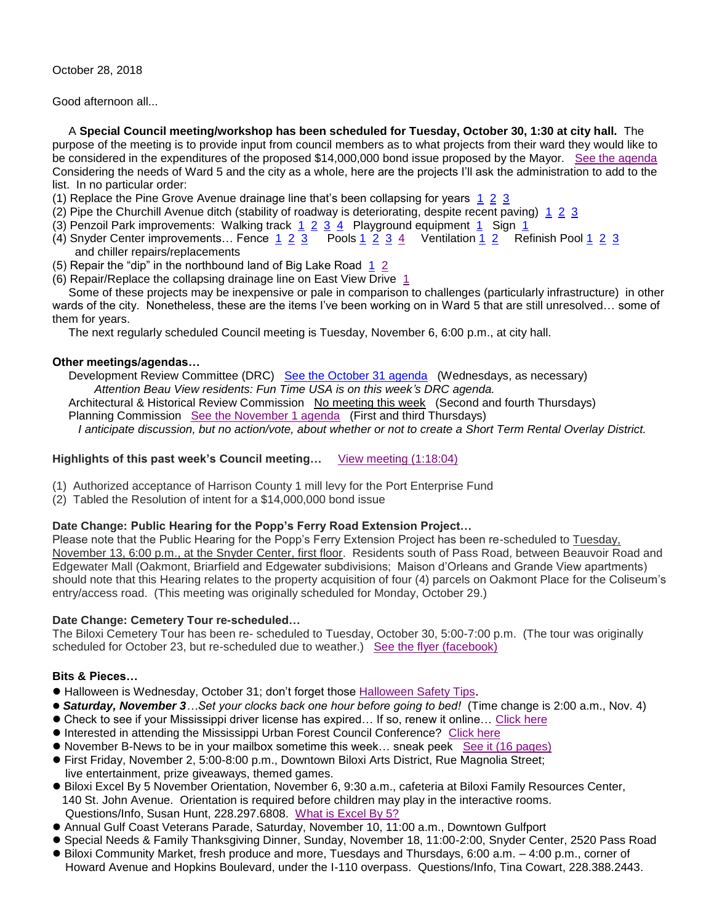October 28, 2018

Good afternoon all...

 A **Special Council meeting/workshop has been scheduled for Tuesday, October 30, 1:30 at city hall.** The purpose of the meeting is to provide input from council members as to what projects from their ward they would like to be considered in the expenditures of the proposed \$14,000,000 bond issue proposed by the Mayor. [See the agenda](https://www.biloxi.ms.us/agendas/citycouncil/2018/103018/103018smcou.pdf) Considering the needs of Ward 5 and the city as a whole, here are the projects I'll ask the administration to add to the list. In no particular order:

- (1) Replace the Pine Grove Avenue drainage line that's been collapsing for years  $1\ 2\ 3$
- (2) Pipe the Churchill Avenue ditch (stability of roadway is deteriorating, despite recent paving)  $1\ 2\ 3$  $1\ 2\ 3$
- (3) Penzoil Park improvements: Walking track  $1\ 2\ 3\ 4\ 1\ 2$  $1\ 2\ 3\ 4\ 1\ 2$  Playground equipment  $1\ 1\$  Sign  $1\ 1\ 1\ 1\ 2\ 2\ 3\ 4\ 1\ 2\ 2\ 3\ 4\ 2\ 2\ 3\ 4\ 2\ 3\ 4\ 3\ 4\ 4\ 4\ 5\ 5\ 6\ 7\ 7\ 7\ 8\ 8\ 9\ 1\ 1\ 1\ 1\ 1\ 1\ 1\ 1\$
- ([4](http://tisdaleforbiloxi.com/wp-content/uploads/2018/10/Snyder-Center-olympic-pool-stainless-steel-rust1-20181026_125627.jpg)) Snyder Center improvements... Fence  $\frac{1}{2}$   $\frac{2}{3}$  $\frac{2}{3}$  $\frac{2}{3}$  Pools  $\frac{1}{2}$   $\frac{2}{3}$   $\frac{3}{4}$  Ventilation  $\frac{1}{1}$   $\frac{2}{5}$  Refinish Pool [1](http://tisdaleforbiloxi.com/wp-content/uploads/2018/10/Snyder-Center-olympic-pool-refinish-bottom-of-pool1-20181026_130051.jpg) [2](http://tisdaleforbiloxi.com/wp-content/uploads/2018/10/Snyder-Center-olympic-pool-refinish-bottom-of-pool2-20181026_130135.jpg) 3 and chiller repairs/replacements
- (5) Repair the "dip" in the northbound land of Big Lake Road [1](http://tisdaleforbiloxi.com/wp-content/uploads/2018/10/Big-Lake-deterioration1-20181024_174333.jpg) [2](http://tisdaleforbiloxi.com/wp-content/uploads/2018/10/Big-Lake-deterioration2-20181024_174349.jpg)
- (6) Repair/Replace the collapsing drainage line on East View Drive [1](http://tisdaleforbiloxi.com/wp-content/uploads/2018/10/Eastview-drainage-deterioration-20181024_161714.jpg)

 Some of these projects may be inexpensive or pale in comparison to challenges (particularly infrastructure) in other wards of the city. Nonetheless, these are the items I've been working on in Ward 5 that are still unresolved… some of them for years.

The next regularly scheduled Council meeting is Tuesday, November 6, 6:00 p.m., at city hall.

### **Other meetings/agendas…**

Development Review Committee (DRC) [See the October 31 agenda](https://www.biloxi.ms.us/agendas/DRC/2018/DRC-2018-10-31.pdf) (Wednesdays, as necessary) *Attention Beau View residents: Fun Time USA is on this week's DRC agenda.* Architectural & Historical Review Commission No meeting this week (Second and fourth Thursdays) Planning Commission [See the November 1 agenda](https://www.biloxi.ms.us/agendas/planning/2018/PC-11-01-18.pdf) (First and third Thursdays) *I anticipate discussion, but no action/vote, about whether or not to create a Short Term Rental Overlay District.*

# **Highlights of this past week's Council meeting…** [View meeting \(1:18:04\)](https://www.youtube.com/watch?v=HWutk21XTrQ)

- (1) Authorized acceptance of Harrison County 1 mill levy for the Port Enterprise Fund
- (2) Tabled the Resolution of intent for a \$14,000,000 bond issue

#### **Date Change: Public Hearing for the Popp's Ferry Road Extension Project…**

Please note that the Public Hearing for the Popp's Ferry Extension Project has been re-scheduled to Tuesday, November 13, 6:00 p.m., at the Snyder Center, first floor. Residents south of Pass Road, between Beauvoir Road and Edgewater Mall (Oakmont, Briarfield and Edgewater subdivisions; Maison d'Orleans and Grande View apartments) should note that this Hearing relates to the property acquisition of four (4) parcels on Oakmont Place for the Coliseum's entry/access road. (This meeting was originally scheduled for Monday, October 29.)

#### **Date Change: Cemetery Tour re-scheduled…**

The Biloxi Cemetery Tour has been re- scheduled to Tuesday, October 30, 5:00-7:00 p.m. (The tour was originally scheduled for October 23, but re-scheduled due to weather.) [See the flyer \(facebook\)](https://scontent-atl3-1.xx.fbcdn.net/v/t1.0-9/44625134_2383359518359110_2360616237513310208_n.jpg?_nc_cat=102&_nc_ht=scontent-atl3-1.xx&oh=14d87ec9be048e2ddfae2b60a700a7bf&oe=5C3E9F53)

# **Bits & Pieces…**

- Halloween is Wednesday, October 31; don't forget those [Halloween Safety Tips](https://www.biloxi.ms.us/safety-tips-for-halloween/).
- *Saturday, November 3…Set your clocks back one hour before going to bed!* (Time change is 2:00 a.m., Nov. 4)
- Check to see if your Mississippi driver license has expired… If so, renew it online… [Click here](https://www.dps.state.ms.us/)
- $\bullet$  Interested in attending the Mississippi Urban Forest Council Conference? [Click here](http://www.msurbanforest.com/events/)
- November B-News to be in your mailbox sometime this week… sneak peek [See it \(16 pages\)](https://www.biloxi.ms.us/wp-content/uploads/2018/10/BnewsMonthlyNovember2018.pdf)
- First Friday, November 2, 5:00-8:00 p.m., Downtown Biloxi Arts District, Rue Magnolia Street; live entertainment, prize giveaways, themed games.
- Biloxi Excel By 5 November Orientation, November 6, 9:30 a.m., cafeteria at Biloxi Family Resources Center, 140 St. John Avenue. Orientation is required before children may play in the interactive rooms. Questions/Info, Susan Hunt, 228.297.6808. [What is Excel By 5?](http://excelby5.com/communities/biloxi/)
- Annual Gulf Coast Veterans Parade, Saturday, November 10, 11:00 a.m., Downtown Gulfport
- Special Needs & Family Thanksgiving Dinner, Sunday, November 18, 11:00-2:00, Snyder Center, 2520 Pass Road
- Biloxi Community Market, fresh produce and more, Tuesdays and Thursdays, 6:00 a.m. 4:00 p.m., corner of Howard Avenue and Hopkins Boulevard, under the I-110 overpass. Questions/Info, Tina Cowart, 228.388.2443.